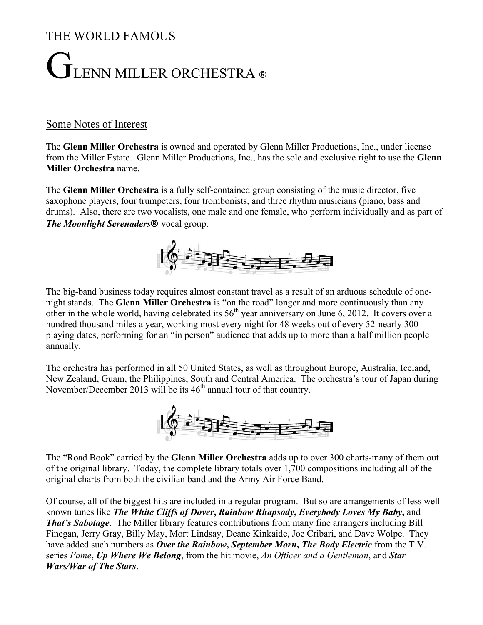## THE WORLD FAMOUS

## $\overline{\mathbf{I}}$ LENN MILLER ORCHESTRA ®

## Some Notes of Interest

The **Glenn Miller Orchestra** is owned and operated by Glenn Miller Productions, Inc., under license from the Miller Estate. Glenn Miller Productions, Inc., has the sole and exclusive right to use the **Glenn Miller Orchestra** name.

The **Glenn Miller Orchestra** is a fully self-contained group consisting of the music director, five saxophone players, four trumpeters, four trombonists, and three rhythm musicians (piano, bass and drums). Also, there are two vocalists, one male and one female, who perform individually and as part of *The Moonlight Serenaders*® vocal group.



The big-band business today requires almost constant travel as a result of an arduous schedule of onenight stands. The **Glenn Miller Orchestra** is "on the road" longer and more continuously than any other in the whole world, having celebrated its  $56<sup>th</sup>$  year anniversary on June 6, 2012. It covers over a hundred thousand miles a year, working most every night for 48 weeks out of every 52-nearly 300 playing dates, performing for an "in person" audience that adds up to more than a half million people annually.

The orchestra has performed in all 50 United States, as well as throughout Europe, Australia, Iceland, New Zealand, Guam, the Philippines, South and Central America. The orchestra's tour of Japan during November/December 2013 will be its  $46<sup>th</sup>$  annual tour of that country.



The "Road Book" carried by the **Glenn Miller Orchestra** adds up to over 300 charts-many of them out of the original library. Today, the complete library totals over 1,700 compositions including all of the original charts from both the civilian band and the Army Air Force Band.

Of course, all of the biggest hits are included in a regular program. But so are arrangements of less wellknown tunes like *The White Cliffs of Dover***,** *Rainbow Rhapsody***,** *Everybody Loves My Baby***,** and *That's Sabotage*. The Miller library features contributions from many fine arrangers including Bill Finegan, Jerry Gray, Billy May, Mort Lindsay, Deane Kinkaide, Joe Cribari, and Dave Wolpe. They have added such numbers as *Over the Rainbow***,** *September Morn***,** *The Body Electric* from the T.V. series *Fame*, *Up Where We Belong*, from the hit movie, *An Officer and a Gentleman*, and *Star Wars/War of The Stars*.